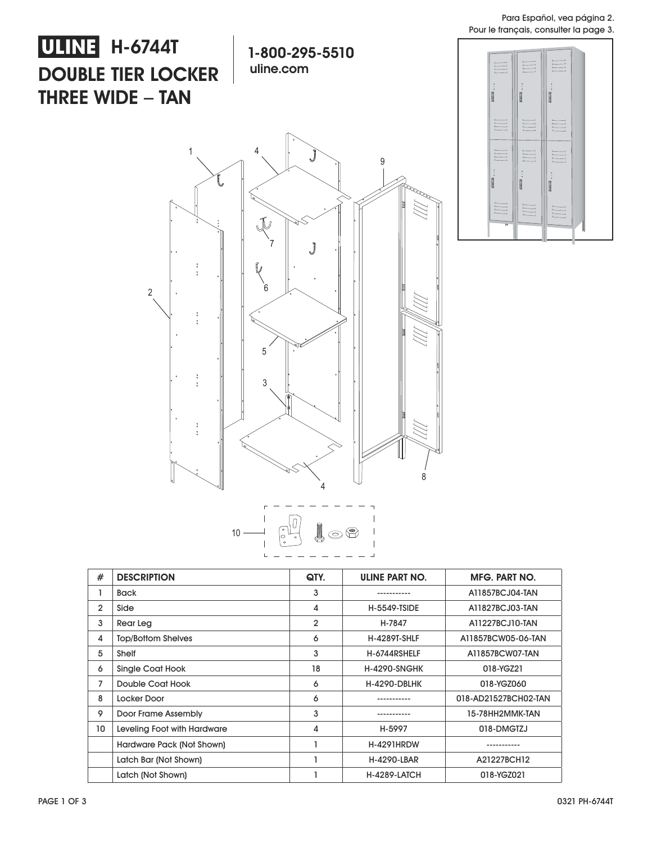Para Español, vea página 2. Pour le français, consulter la page 3.

## **ULINE** H-6744T **DOUBLE TIER LOCKER THREE WIDE** – **TAN**

**1-800-295-5510 uline.com**







| #              | <b>DESCRIPTION</b>          | QTY. | ULINE PART NO.      | <b>MFG. PART NO.</b> |
|----------------|-----------------------------|------|---------------------|----------------------|
|                | <b>Back</b>                 | 3    |                     | A11857BCJ04-TAN      |
| $\overline{2}$ | Side                        | 4    | <b>H-5549-TSIDE</b> | A11827BCJ03-TAN      |
| 3              | Rear Leg                    | 2    | H-7847              | A11227BCJ10-TAN      |
| 4              | <b>Top/Bottom Shelves</b>   | 6    | <b>H-4289T-SHLF</b> | A11857BCW05-06-TAN   |
| 5              | Shelf                       | 3    | H-6744RSHELF        | A11857BCW07-TAN      |
| 6              | Single Coat Hook            | 18   | <b>H-4290-SNGHK</b> | 018-YGZ21            |
| 7              | Double Coat Hook            | 6    | <b>H-4290-DBLHK</b> | 018-YGZ060           |
| 8              | Locker Door                 | 6    |                     | 018-AD21527BCH02-TAN |
| 9              | Door Frame Assembly         | 3    |                     | 15-78HH2MMK-TAN      |
| 10             | Leveling Foot with Hardware | 4    | H-5997              | 018-DMGTZJ           |
|                | Hardware Pack (Not Shown)   |      | <b>H-4291HRDW</b>   |                      |
|                | Latch Bar (Not Shown)       |      | H-4290-LBAR         | A21227BCH12          |
|                | Latch (Not Shown)           |      | <b>H-4289-LATCH</b> | 018-YGZ021           |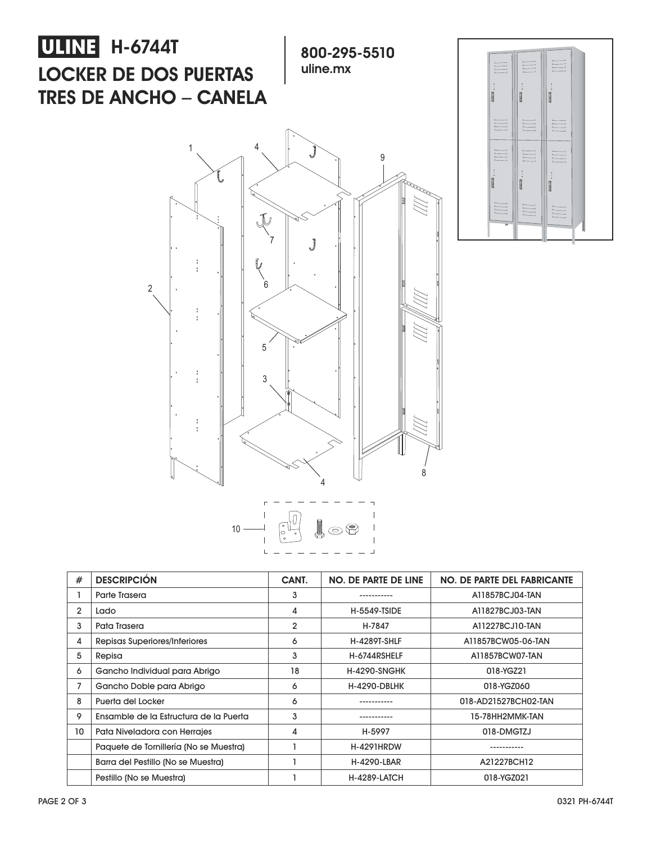



|  | $\begin{picture}(120,10) \put(0,0){\line(1,0){10}} \put(15,0){\line(1,0){10}} \put(15,0){\line(1,0){10}} \put(15,0){\line(1,0){10}} \put(15,0){\line(1,0){10}} \put(15,0){\line(1,0){10}} \put(15,0){\line(1,0){10}} \put(15,0){\line(1,0){10}} \put(15,0){\line(1,0){10}} \put(15,0){\line(1,0){10}} \put(15,0){\line(1,0){10}} \put(15,0){\line($ |  |  |
|--|-----------------------------------------------------------------------------------------------------------------------------------------------------------------------------------------------------------------------------------------------------------------------------------------------------------------------------------------------------|--|--|
|  |                                                                                                                                                                                                                                                                                                                                                     |  |  |

| #              | <b>DESCRIPCIÓN</b>                     | CANT. | <b>NO. DE PARTE DE LINE</b> | <b>NO. DE PARTE DEL FABRICANTE</b> |
|----------------|----------------------------------------|-------|-----------------------------|------------------------------------|
|                | Parte Trasera                          | 3     |                             | A11857BCJ04-TAN                    |
| $\overline{2}$ | Lado                                   | 4     | <b>H-5549-TSIDE</b>         | A11827BCJ03-TAN                    |
| 3              | Pata Trasera                           | 2     | H-7847                      | A11227BCJ10-TAN                    |
| 4              | Repisas Superiores/Inferiores          | 6     | <b>H-4289T-SHLF</b>         | A11857BCW05-06-TAN                 |
| 5              | Repisa                                 | 3     | H-6744RSHELF                | A11857BCW07-TAN                    |
| 6              | Gancho Individual para Abrigo          | 18    | <b>H-4290-SNGHK</b>         | 018-YGZ21                          |
| 7              | Gancho Doble para Abrigo               | 6     | <b>H-4290-DBLHK</b>         | 018-YGZ060                         |
| 8              | Puerta del Locker                      | 6     |                             | 018-AD21527BCH02-TAN               |
| 9              | Ensamble de la Estructura de la Puerta | 3     |                             | 15-78HH2MMK-TAN                    |
| 10             | Pata Niveladora con Herrajes           | 4     | H-5997                      | 018-DMGTZJ                         |
|                | Paquete de Tornillería (No se Muestra) |       | <b>H-4291HRDW</b>           |                                    |
|                | Barra del Pestillo (No se Muestra)     |       | <b>H-4290-LBAR</b>          | A21227BCH12                        |
|                | Pestillo (No se Muestra)               |       | <b>H-4289-LATCH</b>         | 018-YGZ021                         |